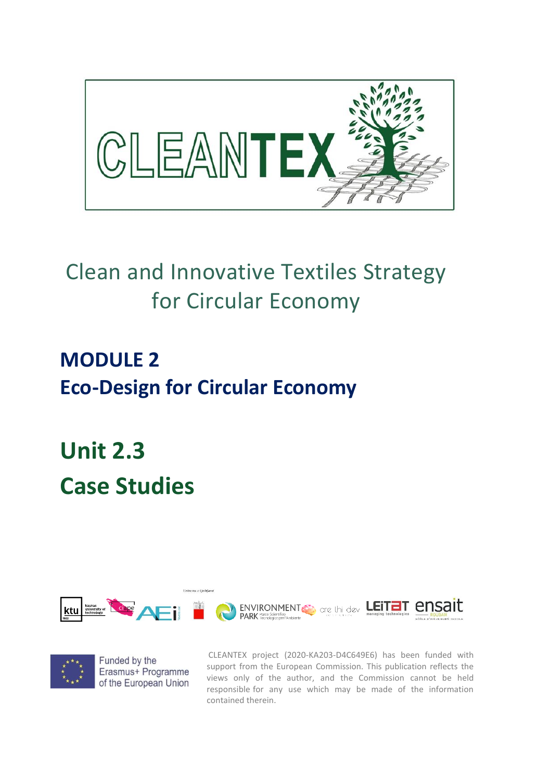

# Clean and Innovative Textiles Strategy for Circular Economy

## **MODULE 2 Eco-Design for Circular Economy**

# **Unit 2.3 Case Studies**





CLEANTEX project (2020-KA203-D4C649E6) has been funded with support from the European Commission. This publication reflects the views only of the author, and the Commission cannot be held responsible for any use which may be made of the information contained therein.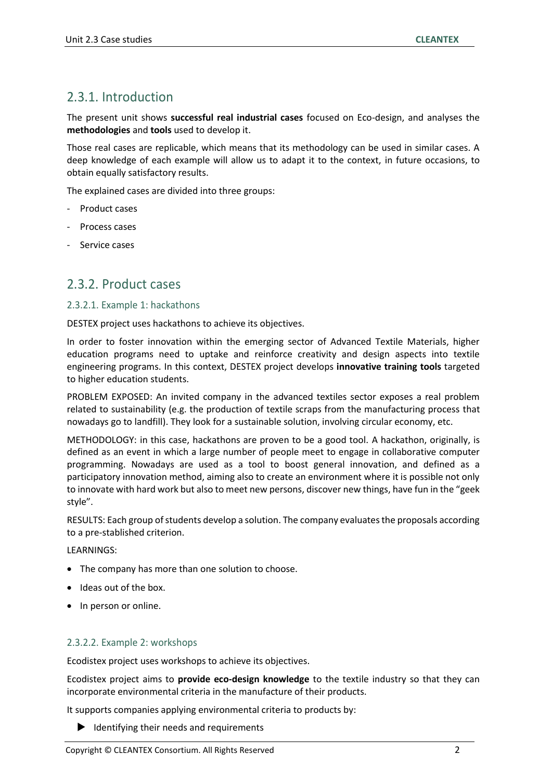## 2.3.1. Introduction

The present unit shows **successful real industrial cases** focused on Eco-design, and analyses the **methodologies** and **tools** used to develop it.

Those real cases are replicable, which means that its methodology can be used in similar cases. A deep knowledge of each example will allow us to adapt it to the context, in future occasions, to obtain equally satisfactory results.

The explained cases are divided into three groups:

- Product cases
- Process cases
- Service cases

### 2.3.2. Product cases

#### 2.3.2.1. Example 1: hackathons

DESTEX project uses hackathons to achieve its objectives.

In order to foster innovation within the emerging sector of Advanced Textile Materials, higher education programs need to uptake and reinforce creativity and design aspects into textile engineering programs. In this context, DESTEX project develops **innovative training tools** targeted to higher education students.

PROBLEM EXPOSED: An invited company in the advanced textiles sector exposes a real problem related to sustainability (e.g. the production of textile scraps from the manufacturing process that nowadays go to landfill). They look for a sustainable solution, involving circular economy, etc.

METHODOLOGY: in this case, hackathons are proven to be a good tool. A hackathon, originally, is defined as an event in which a large number of people meet to engage in collaborative computer programming. Nowadays are used as a tool to boost general innovation, and defined as a participatory innovation method, aiming also to create an environment where it is possible not only to innovate with hard work but also to meet new persons, discover new things, have fun in the "geek style".

RESULTS: Each group of students develop a solution. The company evaluates the proposals according to a pre-stablished criterion.

LEARNINGS:

- The company has more than one solution to choose.
- Ideas out of the box.
- In person or online.

#### 2.3.2.2. Example 2: workshops

Ecodistex project uses workshops to achieve its objectives.

Ecodistex project aims to **provide eco-design knowledge** to the textile industry so that they can incorporate environmental criteria in the manufacture of their products.

It supports companies applying environmental criteria to products by:

 $\blacktriangleright$  Identifying their needs and requirements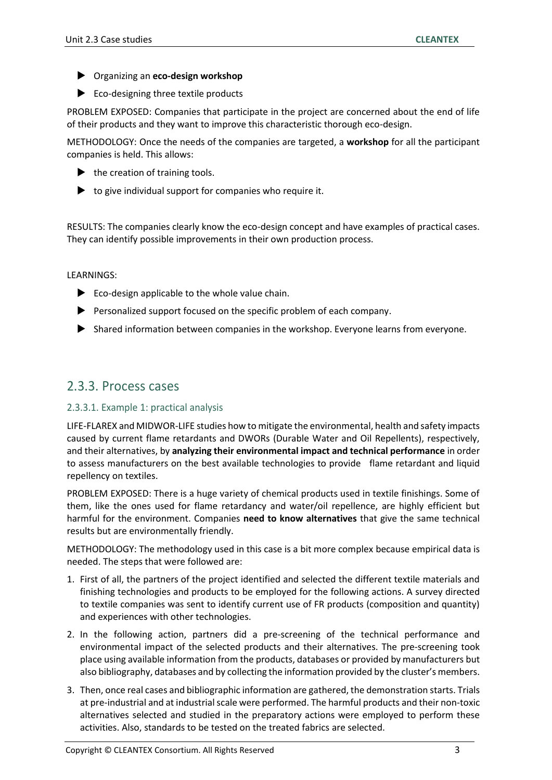- Organizing an **eco-design workshop**
- Eco-designing three textile products

PROBLEM EXPOSED: Companies that participate in the project are concerned about the end of life of their products and they want to improve this characteristic thorough eco-design.

METHODOLOGY: Once the needs of the companies are targeted, a **workshop** for all the participant companies is held. This allows:

- $\blacktriangleright$  the creation of training tools.
- $\blacktriangleright$  to give individual support for companies who require it.

RESULTS: The companies clearly know the eco-design concept and have examples of practical cases. They can identify possible improvements in their own production process.

LEARNINGS:

- $\blacktriangleright$  Eco-design applicable to the whole value chain.
- $\blacktriangleright$  Personalized support focused on the specific problem of each company.
- Shared information between companies in the workshop. Everyone learns from everyone.

## 2.3.3. Process cases

#### 2.3.3.1. Example 1: practical analysis

LIFE-FLAREX and MIDWOR-LIFE studies how to mitigate the environmental, health and safety impacts caused by current flame retardants and DWORs (Durable Water and Oil Repellents), respectively, and their alternatives, by **analyzing their environmental impact and technical performance** in order to assess manufacturers on the best available technologies to provide flame retardant and liquid repellency on textiles.

PROBLEM EXPOSED: There is a huge variety of chemical products used in textile finishings. Some of them, like the ones used for flame retardancy and water/oil repellence, are highly efficient but harmful for the environment. Companies **need to know alternatives** that give the same technical results but are environmentally friendly.

METHODOLOGY: The methodology used in this case is a bit more complex because empirical data is needed. The steps that were followed are:

- 1. First of all, the partners of the project identified and selected the different textile materials and finishing technologies and products to be employed for the following actions. A survey directed to textile companies was sent to identify current use of FR products (composition and quantity) and experiences with other technologies.
- 2. In the following action, partners did a pre-screening of the technical performance and environmental impact of the selected products and their alternatives. The pre-screening took place using available information from the products, databases or provided by manufacturers but also bibliography, databases and by collecting the information provided by the cluster's members.
- 3. Then, once real cases and bibliographic information are gathered, the demonstration starts. Trials at pre-industrial and at industrial scale were performed. The harmful products and their non-toxic alternatives selected and studied in the preparatory actions were employed to perform these activities. Also, standards to be tested on the treated fabrics are selected.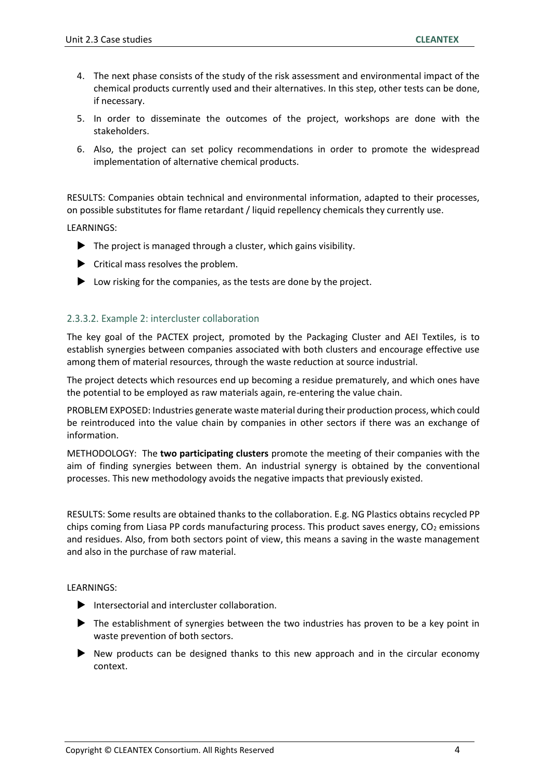- 4. The next phase consists of the study of the risk assessment and environmental impact of the chemical products currently used and their alternatives. In this step, other tests can be done, if necessary.
- 5. In order to disseminate the outcomes of the project, workshops are done with the stakeholders.
- 6. Also, the project can set policy recommendations in order to promote the widespread implementation of alternative chemical products.

RESULTS: Companies obtain technical and environmental information, adapted to their processes, on possible substitutes for flame retardant / liquid repellency chemicals they currently use.

LEARNINGS:

- $\blacktriangleright$  The project is managed through a cluster, which gains visibility.
- $\blacktriangleright$  Critical mass resolves the problem.
- **D** Low risking for the companies, as the tests are done by the project.

#### 2.3.3.2. Example 2: intercluster collaboration

The key goal of the PACTEX project, promoted by the Packaging Cluster and AEI Textiles, is to establish synergies between companies associated with both clusters and encourage effective use among them of material resources, through the waste reduction at source industrial.

The project detects which resources end up becoming a residue prematurely, and which ones have the potential to be employed as raw materials again, re-entering the value chain.

PROBLEM EXPOSED: Industries generate waste material during their production process, which could be reintroduced into the value chain by companies in other sectors if there was an exchange of information.

METHODOLOGY: The **two participating clusters** promote the meeting of their companies with the aim of finding synergies between them. An industrial synergy is obtained by the conventional processes. This new methodology avoids the negative impacts that previously existed.

RESULTS: Some results are obtained thanks to the collaboration. E.g. NG Plastics obtains recycled PP chips coming from Liasa PP cords manufacturing process. This product saves energy,  $CO<sub>2</sub>$  emissions and residues. Also, from both sectors point of view, this means a saving in the waste management and also in the purchase of raw material.

LEARNINGS:

- $\blacktriangleright$  Intersectorial and intercluster collaboration.
- The establishment of synergies between the two industries has proven to be a key point in waste prevention of both sectors.
- New products can be designed thanks to this new approach and in the circular economy context.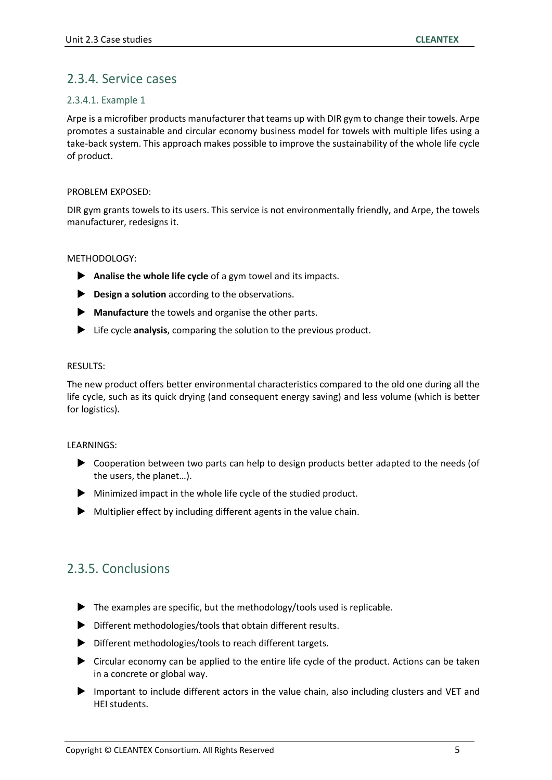## 2.3.4. Service cases

#### 2.3.4.1. Example 1

Arpe is a microfiber products manufacturer that teams up with DIR gym to change their towels. Arpe promotes a sustainable and circular economy business model for towels with multiple lifes using a take-back system. This approach makes possible to improve the sustainability of the whole life cycle of product.

#### PROBLEM EXPOSED:

DIR gym grants towels to its users. This service is not environmentally friendly, and Arpe, the towels manufacturer, redesigns it.

#### METHODOLOGY:

- **Analise the whole life cycle** of a gym towel and its impacts.
- **Design a solution** according to the observations.
- **Manufacture** the towels and organise the other parts.
- Life cycle **analysis**, comparing the solution to the previous product.

#### RESULTS:

The new product offers better environmental characteristics compared to the old one during all the life cycle, such as its quick drying (and consequent energy saving) and less volume (which is better for logistics).

#### LEARNINGS:

- Cooperation between two parts can help to design products better adapted to the needs (of the users, the planet…).
- $\blacktriangleright$  Minimized impact in the whole life cycle of the studied product.
- $\blacktriangleright$  Multiplier effect by including different agents in the value chain.

## 2.3.5. Conclusions

- $\blacktriangleright$  The examples are specific, but the methodology/tools used is replicable.
- Different methodologies/tools that obtain different results.
- Different methodologies/tools to reach different targets.
- Circular economy can be applied to the entire life cycle of the product. Actions can be taken in a concrete or global way.
- Important to include different actors in the value chain, also including clusters and VET and HEI students.